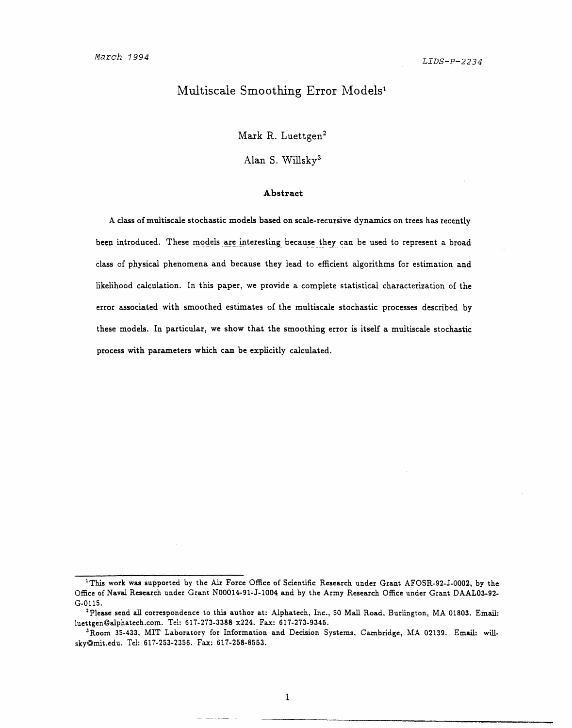### Multiscale Smoothing Error Models'

Mark R. Luettgen<sup>2</sup>

**Alan** S. Willskv3

#### **Abstract**

A class of multiscale stochastic models based on scale-recursive dynamics on trees has recently been introduced. These models are interesting because they can be used to represent a broad class of physical phenomena and because they lead to efficient algorithms for estimation and likelihood calculation. In this paper, we provide a complete statistical characterization of the error associated with smoothed estimates of the multiscale stochastic processes described by these models. In particular, we show that the smoothing error is itself a multiscale stochastic process with parameters which can be explicitly calculated.

 $\mathbf{1}$ 

<sup>&#</sup>x27;This work was supported by the Air Force Office of Scientific Research under Grant AFOSR-92-J-0002, by the Office of Naval Research under Grant N00014-91-J-1004 and by the Army Research Office under Grant DAAL03-92- G-0115.

<sup>&#</sup>x27;Please send all correspondence to this author at: Alphatech, Inc., 50 Mall Road, Burlington, MA 01803. Email: luettgen3alphatech.com. Tel: 617-273-3388 x224. Fax: 617-273-9345.

<sup>3</sup>Room 35-433, MIT Laboratory for Information and Decision Systems, Cambridge, MA 02139. Email: willsky@mit.edu. Tel: 617-253-2356. Fax: 617-258-8553.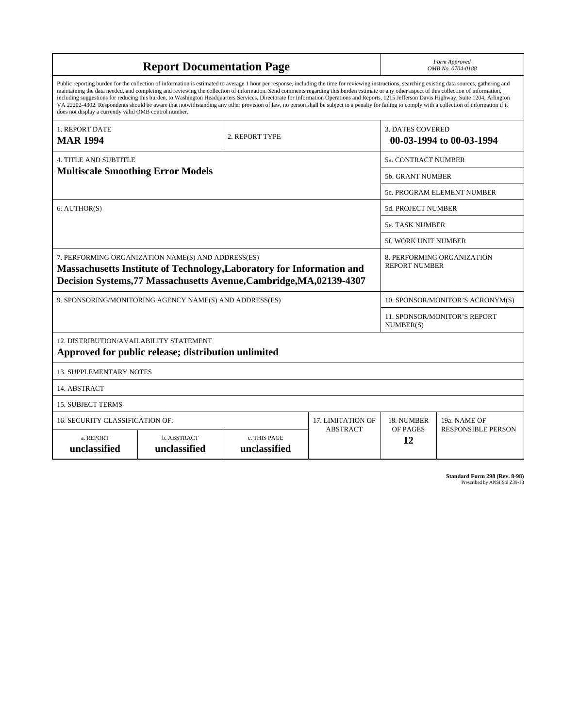| <b>Report Documentation Page</b>                                                                                                                                                                                                                                                                                                                                                                                                                                                                                                                                                                                                                                                                                                                                                                                                                                   |                             |                              |                 | Form Approved<br>OMB No. 0704-0188                  |                           |
|--------------------------------------------------------------------------------------------------------------------------------------------------------------------------------------------------------------------------------------------------------------------------------------------------------------------------------------------------------------------------------------------------------------------------------------------------------------------------------------------------------------------------------------------------------------------------------------------------------------------------------------------------------------------------------------------------------------------------------------------------------------------------------------------------------------------------------------------------------------------|-----------------------------|------------------------------|-----------------|-----------------------------------------------------|---------------------------|
| Public reporting burden for the collection of information is estimated to average 1 hour per response, including the time for reviewing instructions, searching existing data sources, gathering and<br>maintaining the data needed, and completing and reviewing the collection of information. Send comments regarding this burden estimate or any other aspect of this collection of information,<br>including suggestions for reducing this burden, to Washington Headquarters Services, Directorate for Information Operations and Reports, 1215 Jefferson Davis Highway, Suite 1204, Arlington<br>VA 22202-4302. Respondents should be aware that notwithstanding any other provision of law, no person shall be subject to a penalty for failing to comply with a collection of information if it<br>does not display a currently valid OMB control number. |                             |                              |                 |                                                     |                           |
| 1. REPORT DATE<br>2. REPORT TYPE<br><b>MAR 1994</b>                                                                                                                                                                                                                                                                                                                                                                                                                                                                                                                                                                                                                                                                                                                                                                                                                |                             |                              |                 | <b>3. DATES COVERED</b><br>00-03-1994 to 00-03-1994 |                           |
| <b>4. TITLE AND SUBTITLE</b>                                                                                                                                                                                                                                                                                                                                                                                                                                                                                                                                                                                                                                                                                                                                                                                                                                       |                             |                              |                 | 5a. CONTRACT NUMBER                                 |                           |
| <b>Multiscale Smoothing Error Models</b>                                                                                                                                                                                                                                                                                                                                                                                                                                                                                                                                                                                                                                                                                                                                                                                                                           |                             |                              |                 | <b>5b. GRANT NUMBER</b>                             |                           |
|                                                                                                                                                                                                                                                                                                                                                                                                                                                                                                                                                                                                                                                                                                                                                                                                                                                                    |                             |                              |                 | 5c. PROGRAM ELEMENT NUMBER                          |                           |
| 6. AUTHOR(S)                                                                                                                                                                                                                                                                                                                                                                                                                                                                                                                                                                                                                                                                                                                                                                                                                                                       |                             |                              |                 | <b>5d. PROJECT NUMBER</b>                           |                           |
|                                                                                                                                                                                                                                                                                                                                                                                                                                                                                                                                                                                                                                                                                                                                                                                                                                                                    |                             |                              |                 | <b>5e. TASK NUMBER</b>                              |                           |
|                                                                                                                                                                                                                                                                                                                                                                                                                                                                                                                                                                                                                                                                                                                                                                                                                                                                    |                             |                              |                 | <b>5f. WORK UNIT NUMBER</b>                         |                           |
| 7. PERFORMING ORGANIZATION NAME(S) AND ADDRESS(ES)<br>Massachusetts Institute of Technology, Laboratory for Information and<br>Decision Systems, 77 Massachusetts Avenue, Cambridge, MA, 02139-4307                                                                                                                                                                                                                                                                                                                                                                                                                                                                                                                                                                                                                                                                |                             |                              |                 | 8. PERFORMING ORGANIZATION<br><b>REPORT NUMBER</b>  |                           |
| 9. SPONSORING/MONITORING AGENCY NAME(S) AND ADDRESS(ES)                                                                                                                                                                                                                                                                                                                                                                                                                                                                                                                                                                                                                                                                                                                                                                                                            |                             |                              |                 | 10. SPONSOR/MONITOR'S ACRONYM(S)                    |                           |
|                                                                                                                                                                                                                                                                                                                                                                                                                                                                                                                                                                                                                                                                                                                                                                                                                                                                    |                             |                              |                 | <b>11. SPONSOR/MONITOR'S REPORT</b><br>NUMBER(S)    |                           |
| 12. DISTRIBUTION/AVAILABILITY STATEMENT<br>Approved for public release; distribution unlimited                                                                                                                                                                                                                                                                                                                                                                                                                                                                                                                                                                                                                                                                                                                                                                     |                             |                              |                 |                                                     |                           |
| <b>13. SUPPLEMENTARY NOTES</b>                                                                                                                                                                                                                                                                                                                                                                                                                                                                                                                                                                                                                                                                                                                                                                                                                                     |                             |                              |                 |                                                     |                           |
| 14. ABSTRACT                                                                                                                                                                                                                                                                                                                                                                                                                                                                                                                                                                                                                                                                                                                                                                                                                                                       |                             |                              |                 |                                                     |                           |
| <b>15. SUBJECT TERMS</b>                                                                                                                                                                                                                                                                                                                                                                                                                                                                                                                                                                                                                                                                                                                                                                                                                                           |                             |                              |                 |                                                     |                           |
| <b>16. SECURITY CLASSIFICATION OF:</b><br><b>17. LIMITATION OF</b>                                                                                                                                                                                                                                                                                                                                                                                                                                                                                                                                                                                                                                                                                                                                                                                                 |                             |                              |                 | 18. NUMBER                                          | 19a. NAME OF              |
| a. REPORT<br>unclassified                                                                                                                                                                                                                                                                                                                                                                                                                                                                                                                                                                                                                                                                                                                                                                                                                                          | b. ABSTRACT<br>unclassified | c. THIS PAGE<br>unclassified | <b>ABSTRACT</b> | OF PAGES<br>12                                      | <b>RESPONSIBLE PERSON</b> |

**Standard Form 298 (Rev. 8-98)**<br>Prescribed by ANSI Std Z39-18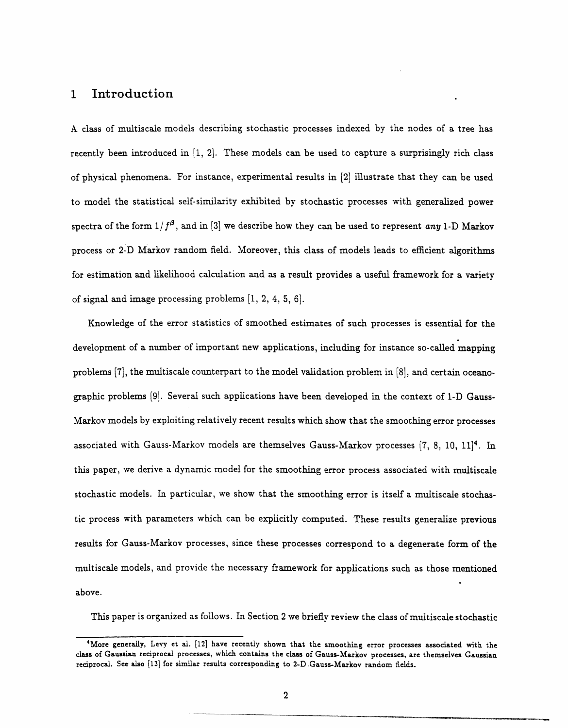# **1 Introduction**

A class of multiscale models describing stochastic processes indexed by the nodes of a tree has recently been introduced in [1, 2]. These models can be used to capture a surprisingly rich class of physical phenomena. For instance, experimental results in [2] illustrate that they can be used to model the statistical self-similarity exhibited by stochastic processes with generalized power spectra of the form  $1/f^{\beta}$ , and in [3] we describe how they can be used to represent *any* 1-D Markov process or 2-D Markov random field. Moreover, this class of models leads to efficient algorithms for estimation and likelihood calculation and as a result provides a useful framework for a variety of signal and image processing problems [1, 2, 4, 5, 6].

Knowledge of the error statistics of smoothed estimates of such processes is essential for the development of a number of important new applications, including for instance so-called mapping problems [7], the multiscale counterpart to the model validation problem in [8], and certain oceanographic problems [9]. Several such applications have been developed in the context of 1-D Gauss-Markov models by exploiting relatively recent results which show that the smoothing error processes associated with Gauss-Markov models are themselves Gauss-Markov processes (7, 8, 10, 11]4. In this paper, we derive a dynamic model for the smoothing error process associated with multiscale stochastic models. In particular, we show that the smoothing error is itself a multiscale stochastic process with parameters which can be explicitly computed. These results generalize previous results for Gauss-Markov processes, since these processes correspond to a degenerate form of the multiscale models, and provide the necessary framework for applications such as those mentioned above.

This paper is organized as follows. In Section 2 we briefly review the class of multiscale stochastic

**<sup>4</sup>More** generally, Levy et al. [12] have recently shown that the smoothing **error processes** associated with the **class** of **Gaussian** reciprocal processes, which contains the class of Gauss-Markov processes, are themselves **Gaussian** reciprocal. See also [13] for similar results corresponding to 2-D Gauss-Markov random fields.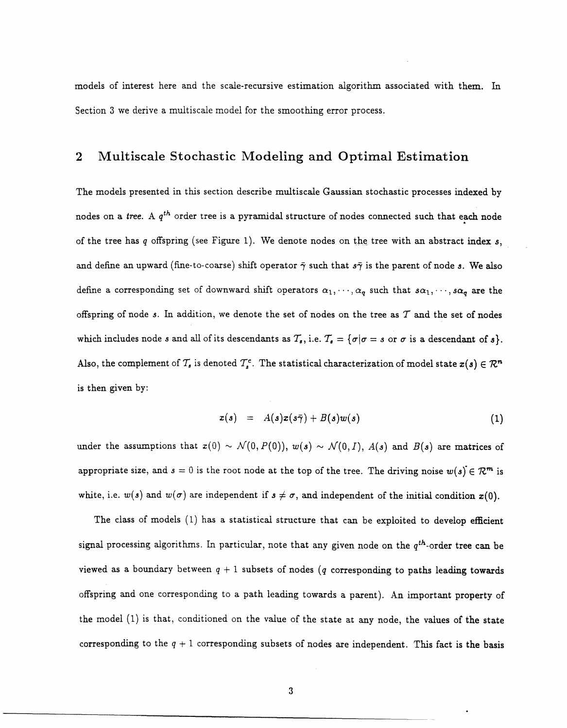models of interest here and the scale-recursive estimation algorithm associated with them. In Section 3 we derive a multiscale model for the smoothing error process.

# **2 Multiscale Stochastic Modeling and Optimal Estimation**

The models presented in this section describe multiscale Gaussian stochastic processes indexed by nodes on a tree. A *qth* order tree is a pyramidal structure of nodes connected such that each node of the tree has q offspring (see Figure 1). We denote nodes on the tree with an abstract index *s,* and define an upward (fine-to-coarse) shift operator  $\bar{\gamma}$  such that  $s\bar{\gamma}$  is the parent of node s. We also define a corresponding set of downward shift operators  $\alpha_1, \dots, \alpha_q$  such that  $s\alpha_1, \dots, s\alpha_q$  are the offspring of node s. In addition, we denote the set of nodes on the tree as  $T$  and the set of nodes which includes node *s* and all of its descendants as  $T_s$ , i.e.  $T_s = {\sigma | \sigma = s \text{ or } \sigma \text{ is a descendant of } s}.$ Also, the complement of  $\mathcal{T}_s$  is denoted  $\mathcal{T}_s^c$ . The statistical characterization of model state  $x(s) \in \mathcal{R}^n$ is then given by:

$$
x(s) = A(s)x(s\overline{\gamma}) + B(s)w(s)
$$
 (1)

under the assumptions that  $x(0) \sim \mathcal{N}(0, P(0))$ ,  $w(s) \sim \mathcal{N}(0, I)$ ,  $A(s)$  and  $B(s)$  are matrices of appropriate size, and  $s = 0$  is the root node at the top of the tree. The driving noise  $w(s) \in \mathbb{R}^m$  is white, i.e.  $w(s)$  and  $w(\sigma)$  are independent if  $s \neq \sigma$ , and independent of the initial condition  $x(0)$ .

The class of models (1) has a statistical structure that can be exploited to develop efficient signal processing algorithms. In particular, note that any given node on the  $q^{th}$ -order tree can be viewed as a boundary between  $q + 1$  subsets of nodes (q corresponding to paths leading towards offspring and one corresponding to a path leading towards a parent). An important property of the model (1) is that, conditioned on the value of the state at any node, the values of the state corresponding to the  $q + 1$  corresponding subsets of nodes are independent. This fact is the basis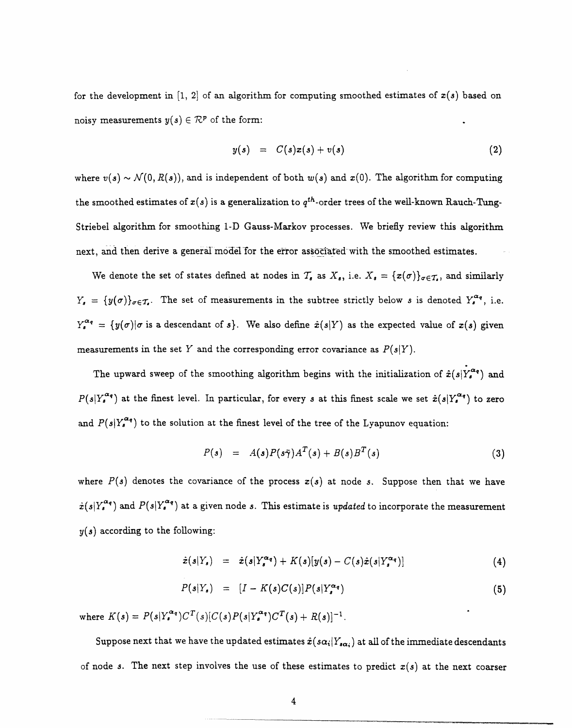for the development in [1, 2] of an algorithm for computing smoothed estimates of  $x(s)$  based on noisy measurements  $y(s) \in \mathcal{R}^p$  of the form:

$$
y(s) = C(s)x(s) + v(s)
$$
 (2)

where  $v(s) \sim \mathcal{N}(0, R(s))$ , and is independent of both  $w(s)$  and  $x(0)$ . The algorithm for computing the smoothed estimates of  $x(s)$  is a generalization to  $q^{th}$ -order trees of the well-known Rauch-Tung-Striebel algorithm for smoothing 1-D Gauss-Markov processes. We briefly review this algorithm next, and then derive a general model for the error associated with the smoothed estimates.

We denote the set of states defined at nodes in  $T_s$  as  $X_s$ , i.e.  $X_s = \{x(\sigma)\}_{\sigma \in T_s}$ , and similarly  $Y_s = \{y(\sigma)\}_{\sigma \in \mathcal{T}_s}$ . The set of measurements in the subtree strictly below *s* is denoted  $Y_s^{\alpha_q}$ , i.e.  $Y_s^{\alpha_q} = \{y(\sigma)|\sigma \text{ is a descendant of }s\}.$  We also define  $\hat{x}(s|Y)$  as the expected value of  $x(s)$  given measurements in the set Y and the corresponding error covariance as  $P(s|Y)$ .

The upward sweep of the smoothing algorithm begins with the initialization of  $\hat{x}(s|Y_s^{\alpha q})$  and  $P(s|Y^{\bm{\alpha_q}}_s)$  at the finest level. In particular, for every  $s$  at this finest scale we set  $\hat{\bm{x}}(s|Y^{\bm{\alpha_q}}_s)$  to zero and  $P(s|Y_s^{\alpha_q})$  to the solution at the finest level of the tree of the Lyapunov equation:

$$
P(s) = A(s)P(s\bar{\gamma})A^T(s) + B(s)B^T(s)
$$
\n(3)

where  $P(s)$  denotes the covariance of the process  $x(s)$  at node s. Suppose then that we have  $\hat{x}(s|Y_s^{\alpha_q})$  and  $P(s|Y_s^{\alpha_q})$  at a given node s. This estimate is *updated* to incorporate the measurement *y(s)* according to the following:

$$
\hat{x}(s|Y_s) = \hat{x}(s|Y_s^{\alpha_q}) + K(s)[y(s) - C(s)\hat{x}(s|Y_s^{\alpha_q})]
$$
\n(4)

$$
P(s|Y_s) = [I - K(s)C(s)]P(s|Y_s^{\alpha_q}) \qquad (5)
$$

where  $K(s) = P(s|Y_s^{\alpha_q})C^T(s)[C(s)P(s|Y_s^{\alpha_q})C^T(s) + R(s)]^{-1}$ .

Suppose next that we have the updated estimates  $\hat{x}(s\alpha_i|Y_{s\alpha_i})$  at all of the immediate descendants of node s. The next step involves the use of these estimates to predict  $x(s)$  at the next coarser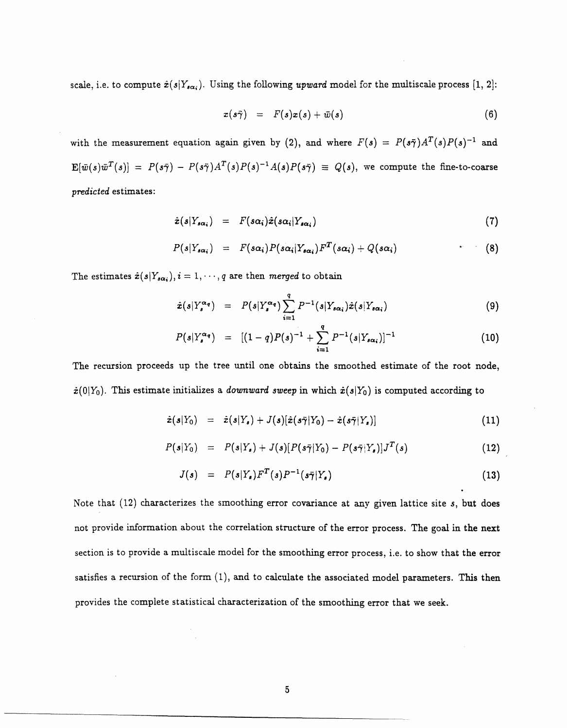scale, i.e. to compute  $\hat{x}(s|Y_{s\alpha_i})$ . Using the following *upward* model for the multiscale process [1, 2]:

$$
x(s\tilde{\gamma}) = F(s)x(s) + \bar{w}(s) \qquad (6)
$$

with the measurement equation again given by (2), and where  $F(s) = P(s\overline{\gamma})A^T(s)P(s)^{-1}$  and  $E[\bar{w}(s)\bar{w}^T(s)] = P(s\bar{\gamma}) - P(s\bar{\gamma})A^T(s)P(s)^{-1}A(s)P(s\bar{\gamma}) \equiv Q(s)$ , we compute the fine-to-coarse *predicted* estimates:

$$
\hat{x}(s|Y_{s\alpha_i}) = F(s\alpha_i)\hat{x}(s\alpha_i|Y_{s\alpha_i}) \qquad (7)
$$

$$
P(s|Y_{s\alpha_i}) = F(s\alpha_i)P(s\alpha_i|Y_{s\alpha_i})F^T(s\alpha_i) + Q(s\alpha_i) \qquad (8)
$$

The estimates  $\hat{\mathbf{z}}(s|Y_{s\alpha_i}), i = 1, \cdots, q$  are then *merged* to obtain

$$
\hat{x}(s|Y_s^{\alpha_q}) = P(s|Y_s^{\alpha_q}) \sum_{i=1}^q P^{-1}(s|Y_{s\alpha_i})\hat{x}(s|Y_{s\alpha_i})
$$
\n(9)

$$
P(s|Y_s^{\alpha_q}) = [(1-q)P(s)^{-1} + \sum_{i=1}^q P^{-1}(s|Y_{s\alpha_i})]^{-1}
$$
 (10)

The recursion proceeds up the tree until one obtains the smoothed estimate of the root node,  $\hat{\bm{x}}(0|Y_0)$ . This estimate initializes a *downward sweep* in which  $\hat{\bm{x}}(s|Y_0)$  is computed according to

$$
\hat{\boldsymbol{x}}(s|Y_0) = \hat{\boldsymbol{x}}(s|Y_s) + J(s)[\hat{\boldsymbol{x}}(s\tilde{\boldsymbol{\gamma}}|Y_0) - \hat{\boldsymbol{x}}(s\tilde{\boldsymbol{\gamma}}|Y_s)] \qquad (11)
$$

$$
P(s|Y_0) = P(s|Y_s) + J(s)[P(s\overline{\gamma}|Y_0) - P(s\overline{\gamma}|Y_s)]J^T(s)
$$
\n(12)

$$
J(s) = P(s|Y_s)F^T(s)P^{-1}(s\overline{\gamma}|Y_s)
$$
\n(13)

Note that (12) characterizes the smoothing error covariance at any given lattice site *s,* but does not provide information about the correlation structure of the error process. The goal in the next section is to provide a multiscale model for the smoothing error process, i.e. to show that the error satisfies a recursion of the form  $(1)$ , and to calculate the associated model parameters. This then provides the complete statistical characterization of the smoothing error that we seek.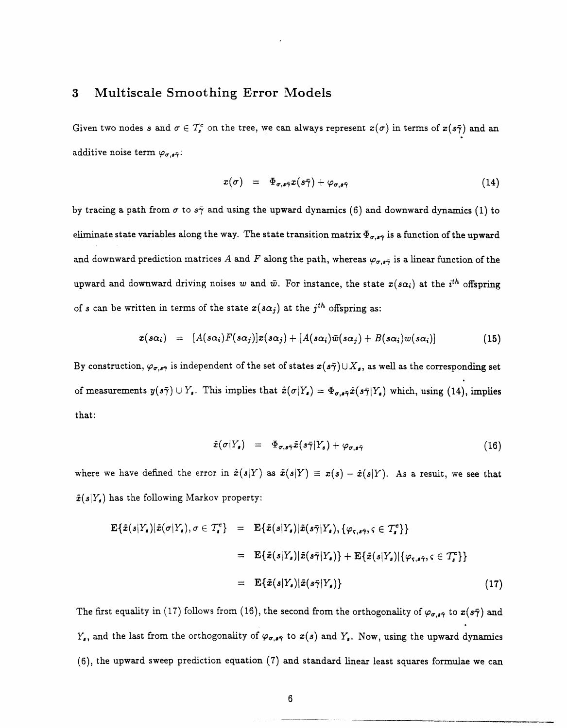### **3 Multiscale Smoothing Error Models**

Given two nodes s and  $\sigma \in \mathcal{T}_{s}^{c}$  on the tree, we can always represent  $x(\sigma)$  in terms of  $x(s\bar{\gamma})$  and an additive noise term  $\varphi_{\sigma,\mathbf{s}\bar{\gamma}}$ :

$$
x(\sigma) = \Phi_{\sigma, s\bar{\gamma}} x(s\bar{\gamma}) + \varphi_{\sigma, s\bar{\gamma}} \qquad (14)
$$

by tracing a path from  $\sigma$  to  $s\bar{\gamma}$  and using the upward dynamics (6) and downward dynamics (1) to eliminate state variables along the way. The state transition matrix  $\Phi_{\sigma,\bullet\tilde\gamma}$  is a function of the upward and downward prediction matrices A and F along the path, whereas  $\varphi_{\sigma,\mathfrak{s}\bar{\gamma}}$  is a linear function of the upward and downward driving noises w and  $\bar{w}$ . For instance, the state  $x(s\alpha_i)$  at the *i<sup>th</sup>* offspring of s can be written in terms of the state  $x(s\alpha_j)$  at the  $j^{th}$  offspring as:

$$
x(s\alpha_i) = [A(s\alpha_i)F(s\alpha_j)]x(s\alpha_j) + [A(s\alpha_i)\bar{w}(s\alpha_j) + B(s\alpha_i)w(s\alpha_i)] \qquad (15)
$$

By construction,  $\varphi_{\sigma,\sigma\bar{\gamma}}$  is independent of the set of states  $x(s\bar{\gamma})\cup X_s$ , as well as the corresponding set of measurements  $y(s\bar{\gamma}) \cup Y_s$ . This implies that  $\hat{x}(\sigma|Y_s) = \Phi_{\sigma, s\bar{\gamma}}\hat{x}(s\bar{\gamma}|Y_s)$  which, using (14), implies that:

$$
\tilde{x}(\sigma|Y_s) = \Phi_{\sigma, s\bar{\gamma}}\tilde{x}(s\bar{\gamma}|Y_s) + \varphi_{\sigma, s\bar{\gamma}} \qquad (16)
$$

where we have defined the error in  $\hat{x}(s|Y)$  as  $\tilde{x}(s|Y) \equiv x(s) - \hat{x}(s|Y)$ . As a result, we see that  $\tilde{x}(s|Y_s)$  has the following Markov property:

$$
\mathbf{E}\{\tilde{x}(s|Y_{s})|\tilde{x}(\sigma|Y_{s}),\sigma\in\mathcal{T}_{s}^{c}\} = \mathbf{E}\{\tilde{x}(s|Y_{s})|\tilde{x}(s\bar{\gamma}|Y_{s}),\{\varphi_{\varsigma,s\bar{\gamma}},\varsigma\in\mathcal{T}_{s}^{c}\}\}
$$
\n
$$
= \mathbf{E}\{\tilde{x}(s|Y_{s})|\tilde{x}(s\bar{\gamma}|Y_{s})\} + \mathbf{E}\{\tilde{x}(s|Y_{s})|\{\varphi_{\varsigma,s\bar{\gamma}},\varsigma\in\mathcal{T}_{s}^{c}\}\}
$$
\n
$$
= \mathbf{E}\{\tilde{x}(s|Y_{s})|\tilde{x}(s\bar{\gamma}|Y_{s})\}
$$
\n(17)

The first equality in (17) follows from (16), the second from the orthogonality of  $\varphi_{\sigma,s\bar{\gamma}}$  to  $x(s\bar{\gamma})$  and  $Y_s$ , and the last from the orthogonality of  $\varphi_{\sigma,s\bar{\tau}}$  to  $x(s)$  and  $Y_s$ . Now, using the upward dynamics (6), the upward sweep prediction equation (7) and standard linear least squares formulae we can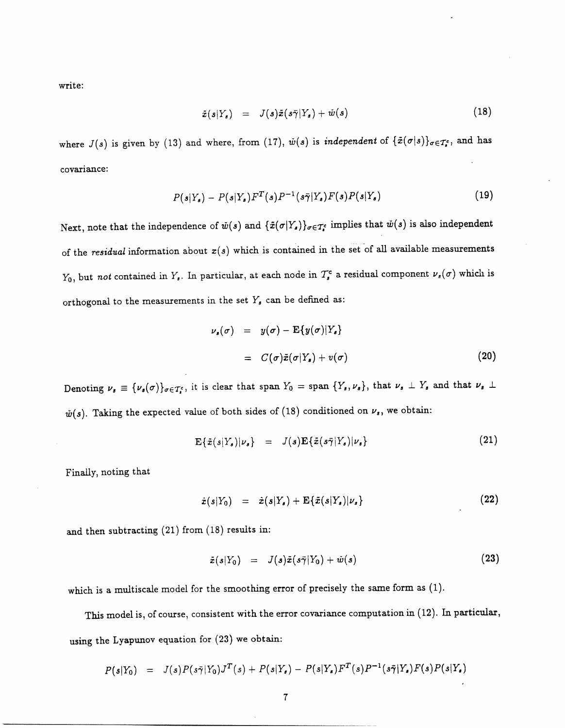write:

$$
\tilde{x}(s|Y_s) = J(s)\tilde{x}(s\bar{\gamma}|Y_s) + \tilde{w}(s) \qquad (18)
$$

where  $J(s)$  is given by (13) and where, from (17),  $\tilde{w}(s)$  is *independent* of  $\{\tilde{x}(\sigma|s)\}_{\sigma\in\mathcal{T}_{s}^{c}}$ , and has covariance:

$$
P(s|Y_s) - P(s|Y_s)F^T(s)P^{-1}(s\bar{\pmb{\gamma}}|Y_s)F(s)P(s|Y_s)
$$
\n(19)

Next, note that the independence of  $\tilde{w}(s)$  and  $\{\tilde{x}(\sigma|Y_s)\}_{\sigma \in \mathcal{T}_{s}}$  implies that  $\tilde{w}(s)$  is also independent of the *residual* information about  $x(s)$  which is contained in the set of all available measurements  $Y_0$ , but *not* contained in  $Y_s$ . In particular, at each node in  $T_s^c$  a residual component  $\nu_s(\sigma)$  which is orthogonal to the measurements in the set  $Y_s$  can be defined as:

$$
\nu_s(\sigma) = y(\sigma) - \mathbf{E}\{y(\sigma)|Y_s\}
$$
  
=  $C(\sigma)\tilde{x}(\sigma|Y_s) + v(\sigma)$  (20)

Denoting  $\nu_s \equiv {\nu_s(\sigma)}_{\sigma \in \mathcal{T}_s^c}$ , it is clear that span  $Y_0 = \text{span} \{Y_s, \nu_s\}$ , that  $\nu_s \perp Y_s$  and that  $\nu_s \perp$  $\check{w}(s)$ . Taking the expected value of both sides of (18) conditioned on  $\nu_s$ , we obtain:

$$
\mathbf{E}\{\tilde{x}(s|Y_s)|\nu_s\} = J(s)\mathbf{E}\{\tilde{x}(s\tilde{\gamma}|Y_s)|\nu_s\}
$$
 (21)

Finally, noting that

$$
\hat{x}(s|Y_0) = \hat{x}(s|Y_s) + \mathbf{E}\{\tilde{x}(s|Y_s)|\nu_s\} \tag{22}
$$

and then subtracting (21) from (18) results in:

$$
\tilde{x}(s|Y_0) = J(s)\tilde{x}(s\bar{\gamma}|Y_0) + \tilde{w}(s) \qquad (23)
$$

which is a multiscale model for the smoothing error of precisely the same form as (1).

This model is, of course, consistent with the error covariance computation in (12). In particular, using the Lyapunov equation for (23) we obtain:

$$
P(s|Y_0) = J(s)P(s\bar{\gamma}|Y_0)J^T(s) + P(s|Y_s) - P(s|Y_s)F^T(s)P^{-1}(s\bar{\gamma}|Y_s)F(s)P(s|Y_s)
$$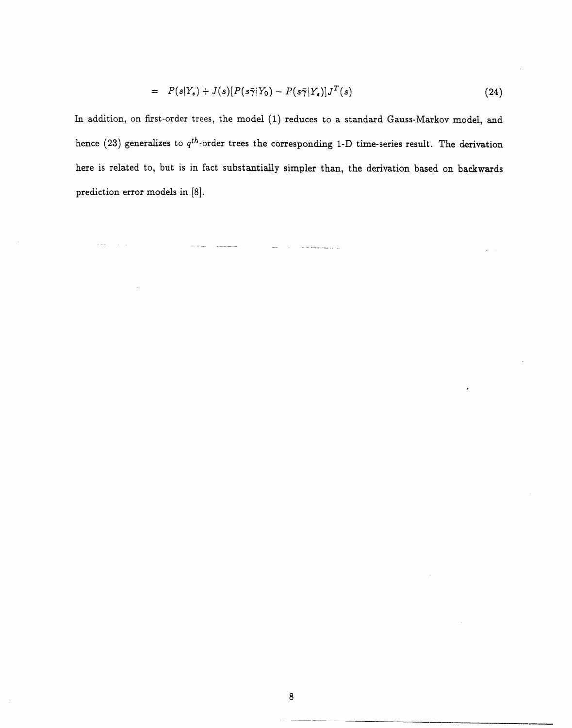$$
= P(s|Y_s) + J(s)[P(s\bar{\gamma}|Y_0) - P(s\bar{\gamma}|Y_s)]J^T(s)
$$
\n(24)

In addition, on first-order trees, the model (1) reduces to a standard Gauss-Markov model, and hence (23) generalizes to  $q^{th}$ -order trees the corresponding 1-D time-series result. The derivation here is related to, but is in fact substantially simpler than, the derivation based on backwards prediction error models in [8].

a provincia de la maggiordad del

 $\sim$   $\sim$   $\sim$ 

 $\sim 10^{-1}$  .

 $\bar{z}_i$  is an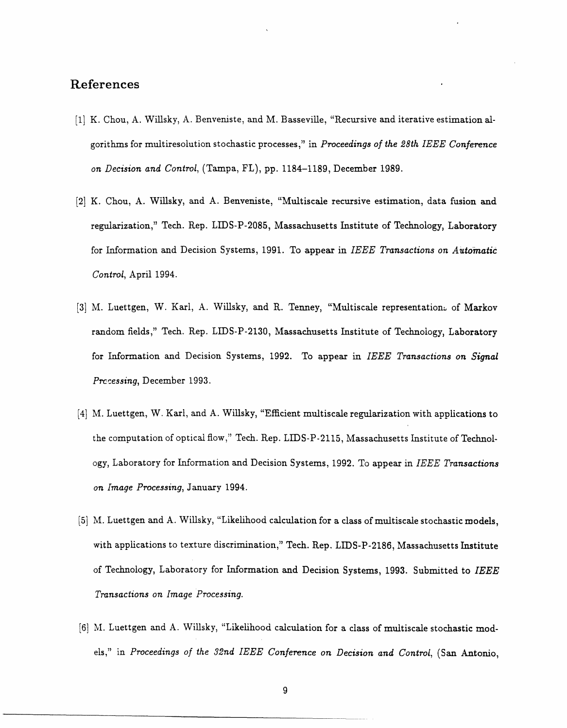## **References**

- [1] K. Chou, A. Willsky, A. Benveniste, and M. Basseville, "Recursive and iterative estimation algorithms for multiresolution stochastic processes," in *Proceedings of the 28th IEEE Conference on Decision and Control,* (Tampa, FL), pp. 1184-1189, December 1989.
- [2] K. Chou, A. Willsky, and A. Benveniste, "Multiscale recursive estimation, data fusion and regularization," Tech. Rep. LIDS-P-2085, Massachusetts Institute of Technology, Laboratory for Information and Decision Systems, 1991. To appear in *IEEE Transactions on AUitomatic Control,* April 1994.
- [3] M. Luettgen, W. Karl, A. Willsky, and R. Tenney, "Multiscale representation: of Markov random fields," Tech. Rep. LIDS-P-2130, Massachusetts Institute of Technology, Laboratory for Information and Decision Systems, 1992. To appear in *IEEE Transactions on Signal Prccessing,* December 1993.
- [4] M. Luettgen, W. Karl, and A. Willsky, "Efficient multiscale regularization with applications to the computation of optical flow," Tech. Rep. LIDS-P-2115, Massachusetts Institute of Technology, Laboratory for Information and Decision Systems, 1992. To appear in *IEEE Transactions on Image Processing,* January 1994.
- [5] M. Luettgen and A. Willsky, "Likelihood calculation for a class of multiscale stochastic models, with applications to texture discrimination," Tech. Rep. LIDS-P-2186, Massachusetts Institute of Technology, Laboratory for Information and Decision Systems, 1993. Submitted to *IEEE Transactions on Image Processing.*
- [6] M. Luettgen and A. Willsky, "Likelihood calculation for a class of multiscale stochastic models," in Proceedings of the 32nd IEEE Conference on Decision and Control, (San Antonio,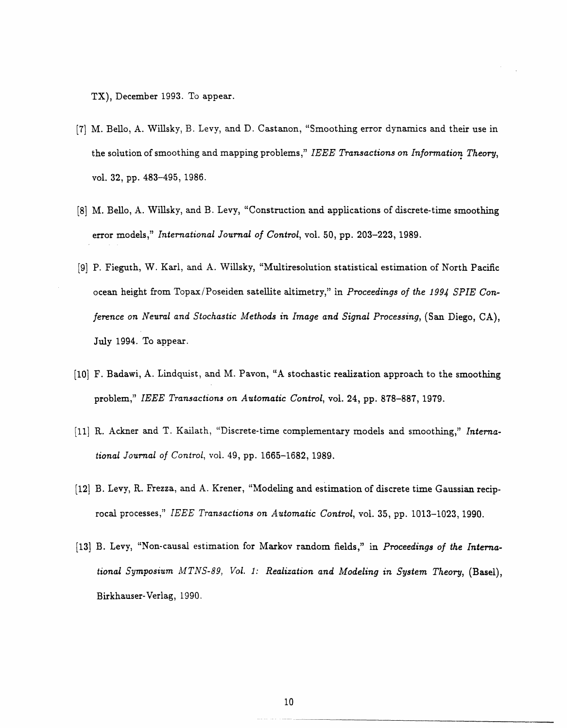TX), December 1993. To appear.

- [7] M. Bello, A. Willsky, B. Levy, and D. Castanon, "Smoothing error dynamics and their use in the solution of smoothing and mapping problems," *IEEE Transactions on Information Theory,* vol. 32, pp. 483-495, 1986.
- [8] M. Bello, A. Willsky, and B. Levy, "Construction and applications of discrete-time smoothing error models," *International Journal of Control,* vol. 50, pp. 203-223, 1989.
- [9] P. Fieguth, W. Karl, and A. Willsky, "Multiresolution statistical estimation of North Pacific ocean height from Topax/Poseiden satellite altimetry," in *Proceedings of the 1994 SPIE Conference on Neural and Stochastic Methods in Image and Signal Processing, (San Diego, CA),* July 1994. To appear.
- [10] F. Badawi, A. Lindquist, and M. Pavon, "A stochastic realization approach to the smoothing problem," *IEEE Transactions on Automatic Control,* vol. 24, pp. 878-887, 1979.
- [11] R. Ackner and T. Kailath, "Discrete-time complementary models and smoothing," *International Journal of Control,* vol. 49, pp. 1665-1682, 1989.
- [12] B. Levy, R. Frezza, and A. Krener, "Modeling and estimation of discrete time Gaussian reciprocal processes," *IEEE Transactions on Automatic Control,* vol. 35, pp. 1013-1023, 1990.
- [13] B. Levy, "Non-causal estimation for Markov random fields," in *Proceedings of the Interna*tional Symposium MTNS-89, Vol. 1: Realization and Modeling in System Theory, (Basel), Birkhauser-Verlag, 1990.